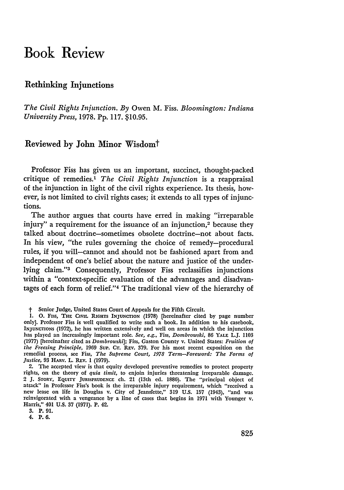## Book Review

#### Rethinking Injunctions

*The Civil Rights Injunction. By* Owen M. Fiss. *Bloomington: Indiana University Press,* 1978. Pp. 117. \$10.95.

#### Reviewed **by** John Minor Wisdomt

Professor Fiss has given us an important, succinct, thought-packed critique of remedies.' *The Civil Rights Injunction* is a reappraisal of the injunction in light of the civil rights experience. Its thesis, however, is not limited to civil rights cases; it extends to all types of injunctions.

The author argues that courts have erred in making "irreparable injury" a requirement for the issuance of an injunction,<sup>2</sup> because they talked about doctrine-sometimes obsolete doctrine-not about facts. In his view, "the rules governing the choice of remedy-procedural rules, if you will-cannot and should not be fashioned apart from and independent of one's belief about the nature and justice of the underlying claim."<sup>3</sup> Consequently, Professor Fiss reclassifies injunctions within a "context-specific evaluation of the advantages and disadvantages of each form of relief."4 The traditional view of the hierarchy of

t Senior Judge, United States Court of Appeals for the Fifth Circuit.

2. The accepted view is that equity developed preventive remedies to protect property rights, on the theory of *quia timit,* to enjoin injuries threatening irreparable damage. 2 **J. STORY, EQUITY** JURISPRUDENCE ch. 21 (13th **ed. 1886).** The "principal object of attack" in Professor Fiss's book is the irreparable injury requirement, which "received a new lease on life in Douglas v. City of Jeannette," 319 U.S. 157 (1943), "and was reinvigorated with a vengeance **by** a line of cases that begins in 1971 with Younger v. Harris," 401 **U.S. 37** (1971). P. 42.

**3.** P. 91.

4. P. **6.**

**<sup>1. 0.</sup>** Fiss, **THE** CIVIL **RIGHTS** INJUNcrioN **(1978)** [hereinafter cited **by** page number only]. Professor Fiss is well qualified to write such a book. In addition to his casebook, INJUNCTIONS **(1972),** he has written extensively and well on areas in which the injunction has played an increasingly important role. *See, e.g.,* Fiss, *Dombrowski,* **86 YALE** L.J. **1103 (1977)** [hereinafter cited as *Dombrowski];* Fiss, Gaston County v. United States: *Fruition of* **the** *Freezing Principle,* **1969** Sup. **CT.** REv. 379. For his most recent exposition on the remedial process, see Fiss, *The Supreme Court, 1978 Term-Foreword: The Forms of Justice,* **93 HARV.** L. REv. 1 **(1979).**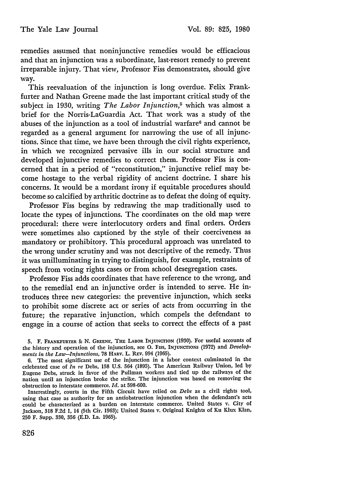remedies assumed that noninjunctive remedies would be efficacious and that an injunction was a subordinate, last-resort remedy to prevent irreparable injury. That view, Professor Fiss demonstrates, should give way.

This reevaluation of the injunction is long overdue. Felix Frankfurter and Nathan Greene made the last important critical study of the subject in 1930, writing *The Labor Injunction,5* which was almost a brief for the Norris-LaGuardia Act. That work was a study of the abuses of the injunction as a tool of industrial warfare<sup>6</sup> and cannot be regarded as a general argument for narrowing the use of all injunctions. Since that time, we have been through the civil rights experience, in which we recognized pervasive ills in our social structure and developed injunctive remedies to correct them. Professor Fiss is concerned that in a period of "reconstitution," injunctive relief may become hostage to the verbal rigidity of ancient doctrine. I share his concerns. It would be a mordant irony if equitable procedures should become so calcified by arthritic doctrine as to defeat the doing of equity.

Professor Fiss begins by redrawing the map traditionally used to locate the types of injunctions. The coordinates on the old map were procedural: there were interlocutory orders and final orders. Orders were sometimes also captioned by the style of their coerciveness as mandatory or prohibitory. This procedural approach was unrelated to the wrong under scrutiny and was not descriptive of the remedy. Thus it was unilluminating in trying to distinguish, for example, restraints of speech from voting rights cases or from school desegregation cases.

Professor Fiss adds coordinates that have reference to the wrong, and to the remedial end an injunctive order is intended to serve. He introduces three new categories: the preventive injunction, which seeks to prohibit some discrete act or series of acts from occurring in the future; the reparative injunction, which compels the defendant to engage in a course of action that seeks to correct the effects of a past

**5.** F. **FRANKFURTER &** N. **GREENE, THE LABOR INJUNCTION (1930).** For useful accounts of the history and operation of the injunction, see **0. FIss,** INJUNCTIONs **(1972)** and *Developments in the Law-Injunctions,* **78** HARV. L. REv. 994 **(1965).**

**6.** The most significant use of the injunction in a labor context culminated in the celebrated case of *In re* Debs, **158 U.S.** 564 **(1895).** The American Railway Union, led **by** Eugene Debs, struck in favor of the Pullman workers and tied up the railways of the nation until an injunction broke the strike. The injunction was based on removing the obstruction to interstate commerce. *Id.* at **598-600.**

Interestingly, courts in the Fifth Circuit have relied on *Debs* as a civil rights tool, using that case as authority for an antiobstruction injunction when the defendant's acts could **be** characterized as a burden on interstate commerce. United States v. City of Jackson, **318 F.2d 1,** 14 (5th Cir. **1963);** United States **v.** Original Knights of Ku Klux Klan, **250** F. Supp. **330, 356 (E.D.** La. **1965).**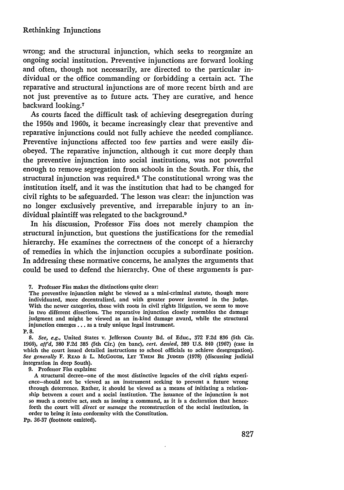wrong; and the structural injunction, which seeks to reorganize an ongoing social institution. Preventive injunctions are forward looking and often, though not necessarily, are directed to the particular individual or the office commanding or forbidding a certain act. The reparative and structural injunctions are of more recent birth and are not just preventive as to future acts. They are curative, and hence backward looking.<sup>7</sup>

As courts faced the difficult task of achieving desegregation during the 1950s and 1960s, it became increasingly clear that preventive and reparative injunctions could not fully achieve the needed compliance. Preventive injunctions affected too few parties and were easily disobeyed. The reparative injunction, although it cut more deeply than the preventive injunction into social institutions, was not powerful enough to remove segregation from schools in the South. For this, the structural injunction was required.8 The constitutional wrong was the institution itself, and it was the institution that had to be changed for civil rights to be safeguarded. The lesson was clear: the injunction was no longer exclusively preventive, and irreparable injury to an individual plaintiff was relegated to the background.<sup>9</sup>

In his discussion, Professor Fiss does not merely champion the structural injunction, but questions the justifications for the remedial hierarchy. He examines the correctness of the concept of a hierarchy of remedies in which the injunction occupies a subordinate position. In addressing these normative concerns, he analyzes the arguments that could be used to defend the hierarchy. One of these arguments is par-

**9.** Professor Fiss explains:

A structural decree-one of the most distinctive legacies of the civil rights experience-should not be viewed as an instrument seeking to prevent a future wrong through deterrence. Rather, it should be viewed as a means of initiating a relationship between a court and a social institution. The issuance of the injunction is not so much a coercive act, such as issuing a command, as it is a declaration that henceforth the court will *direct* or *manage* the reconstruction of the social institution, in order to bring it into conformity with the Constitution.

Pp. 36-37 (footnote omitted).

**<sup>7.</sup>** Professor Fiss makes the distinctions quite clear:

The preventive injunction might be viewed as a mini-criminal statute, though more individuated, more decentralized, and with greater power invested in the judge. With the newer categories, those with roots in civil rights litigation, we seem to move in two different directions. The reparative injunction closely resembles the damage judgment and might be viewed as an in-kind damage award, while the structural injunction emerges **...** as a truly unique legal instrument.

P. **8.**

*<sup>8.</sup> See, e.g.,* United States v. Jefferson County Bd. of Educ., 372 F.2d 836 (5th Cir. 1966), *afl'd,* 380 F.2d **385** (5th Cir.) (en banc), *cert. denied,* 389 U.S. 840 (1967) (case in which the court issued detailed instructions to school officials to achieve desegregation). *See generally* F. **READ 8** L. **McGOUGH, LET THEir BE JUDGED** (1978) (discussing judicial integration in deep South).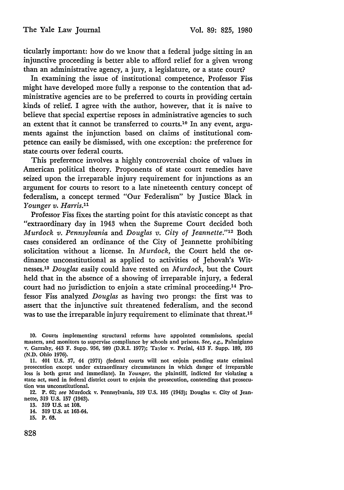ticularly important: how do we know that a federal judge sitting in an injunctive proceeding is better able to afford relief for a given wrong than an administrative agency, a jury, a legislature, or a state court?

In examining the issue of institutional competence, Professor Fiss might have developed more fully a response to the contention that administrative agencies are to be preferred to courts in providing certain kinds of relief. I agree with the author, however, that it is naive to believe that special expertise reposes in administrative agencies to such an extent that it cannot be transferred to courts.<sup>10</sup> In any event, arguments against the injunction based on claims of institutional competence can easily be dismissed, with one exception: the preference for state courts over federal courts.

This preference involves a highly controversial choice of values in American political theory. Proponents of state court remedies have seized upon the irreparable injury requirement for injunctions as an argument for courts to resort to a late nineteenth century concept of federalism, a concept termed "Our Federalism" by Justice Black in *Younger v. Harris."*

Professor Fiss fixes the starting point for this atavistic concept as that "extraordinary day in 1943 when the Supreme Court decided both *Murdock v. Pennsylvania* and *Douglas v. City of Jeannette."'2* Both cases considered an ordinance of the City of Jeannette prohibiting solicitation without a license. In *Murdock,* the Court held the ordinance unconstitutional as applied to activities of Jehovah's Witnesses. <sup>13</sup>*Douglas* easily could have rested on *Murdock,* but the Court held that in the absence of a showing of irreparable injury, a federal court had no jurisdiction to enjoin a state criminal proceeding. 14 Professor Fiss analyzed *Douglas* as having two prongs: the first was to assert that the injunctive suit threatened federalism, and the second was to use the irreparable injury requirement to eliminate that threat.<sup>15</sup>

13. **319** U.S. at 108.

**<sup>10.</sup>** Courts implementing structural reforms have appointed commissions, special masters, and monitors to supervise compliance **by** schools and prisons. *See, e.g.,* Palmigiano v. Garrahy, 443 F. Supp. 956, 989 (D.R.I. 1977); Taylor v. Perini, 413 F. Supp. 189, **193** (N.D. Ohio 1976).

**<sup>11.</sup>** 401 U.S. 37, 44 (1971) (federal courts will not enjoin pending state criminal prosecution except under extraordinary circumstances in which danger of irreparable loss is both great and immediate). In *Younger,* the plaintiff, indicted for violating a state act, sued in federal district court to enjoin the prosecution, contending that prosecution was unconstitutional.

<sup>12.</sup> P. 62; *see* Murdock v. Pennsylvania, **319** U.S. **105** (1943); Douglas v. City of Jeannette, 319 U.S. **157** (1943).

<sup>14.</sup> **319** U.S. at 163-64.

**<sup>15.</sup>** P. **63.**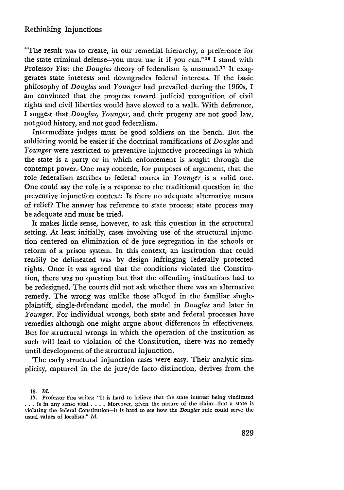"The result was to create, in our remedial hierarchy, a preference for the state criminal defense-you must use it if you can."<sup>16</sup> I stand with Professor Fiss: the *Douglas* theory of federalism is unsound.17 It exaggerates state interests and downgrades federal interests. If the basic philosophy of *Douglas* and *Younger* had prevailed during the 1960s, I am convinced that the progress toward judicial recognition of civil rights and civil liberties would have slowed to a walk. With deference, I suggest that *Douglas, Younger,* and their progeny are not good law, not good history, and not good federalism.

Intermediate judges must be good soldiers on the bench. But the soldiering would be easier if the doctrinal ramifications of *Douglas* and *Younger* were restricted to preventive injunctive proceedings in which the state is a party or in which enforcement is sought through the contempt power., One may concede, for purposes of argument, that the role federalism ascribes to federal courts in *Younger* is a valid one. One could say the role is a response to the traditional question in the preventive injunction context: Is there no adequate alternative means of relief? The answer has reference to state process; state process may be adequate and must be tried.

It makes little sense, however, to ask this question in the structural setting. At least initially, cases involving use of the structural injunction centered on elimination of de jure segregation in the schools or reform of a prison system. In this context, an institution that could readily be delineated was by design infringing federally protected rights. Once it was agreed that the conditions violated the Constitution, there was no question but that the offending institutions had to be redesigned. The courts did not ask whether there was an alternative remedy. The wrong was unlike those alleged in the familiar singleplaintiff, single-defendant model, the model in *Douglas* and later in *Younger.* For individual wrongs, both state and federal processes have remedies although one might argue about differences in effectiveness. But for structural wrongs in which the operation of the institution as such will lead to violation of the Constitution, there was no remedy until development of the structural injunction.

The early structural injunction cases were easy. Their analytic simplicity, captured in the de jure/de facto distinction, derives from the

*16. Id.*

<sup>17.</sup> Professor Fiss writes: "It is hard to believe that the state interest being vindicated **.**..is in any sense vital .**. .** .Moreover, given the nature of the claim-that a state is violating the federal Constitution-it is hard to see **how** the *Douglas* rule could serve the usual values of localism." *Id.*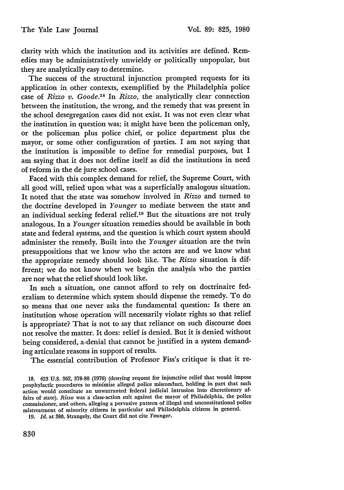clarity with which the institution and its activities are defined. Remedies may be administratively unwieldy or politically unpopular, but they are analytically easy to determine.

The success of the structural injunction prompted requests for its application in other contexts, exemplified by the Philadelphia police case of *Rizzo v. Goode.18* In *Rizzo,* the analytically clear connection between the institution, the wrong, and the remedy that was present in the school desegregation cases did not exist. It was not even clear what the institution in question was; it might have been the policeman only, or the policeman plus police chief, or police department plus the mayor, or some other configuration of parties. I am not saying that the institution is impossible to define for remedial purposes, but I am saying that it does not define itself as did the institutions in need of reform in the de jure school cases.

Faced with this complex demand for relief, the Supreme Court, with all good will, relied upon what was a superficially analogous situation. It noted that the state was somehow involved in *Rizzo* and turned to the doctrine developed in *Younger* to mediate between the state and an individual seeking federal relief.19 But the situations are not truly analogous. In a *Younger* situation remedies should be available in both state and federal systems, and the question is which court system should administer the remedy. Built into the *Younger* situation are the twin presuppositions that we know who the actors are and we know what the appropriate remedy should look like. The *Rizzo* situation is different; we do not know when we begin the analysis who the parties are nor what the relief should look like.

In such a situation, one cannot afford to rely on doctrinaire federalism to determine which system should dispense the remedy. To do so means that one never asks the fundamental question: Is there an institution whose operation will necessarily violate rights so that relief is appropriate? That is not to say that reliance on such discourse does not resolve the matter. It does: relief is denied. But it is denied without being considered, a denial that cannot be justified in a system demanding articulate reasons in support of results.

The essential contribution of Professor Fiss's critique is that it re-

**19.** *Id.* at **380.** Strangely, the Court did not cite *Younger.*

**<sup>18.</sup>** 423 **U.S. 362,** 378-80 **(1976)** (denying request for injunctive relief that would impose prophylactic procedures to minimize alleged police misconduct, holding in part that such action would constitute an unwarranted federal judicial intrusion into discretionary affairs of state). *Rizzo* was a class-action suit against the mayor of Philadelphia, the police commissioner, and others, alleging a pervasive pattern of illegal and unconstitutional police mistreatment of minority citizens in particular and Philadelphia citizens in general.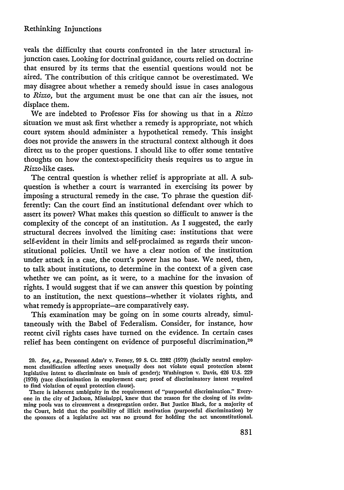veals the difficulty that courts confronted in the later structural injunction cases. Looking for doctrinal guidance, courts relied on doctrine that ensured by its terms that the essential questions would not be aired. The contribution of this critique cannot be overestimated. We may disagree about whether a remedy should issue in cases analogous to *Rizzo,* but the argument must be one that can air the issues, not displace them.

We are indebted to Professor Fiss for showing us that in a *Rizzo* situation we must ask first whether a remedy is appropriate, not which court system should administer a hypothetical remedy. This insight does not provide the answers in the structural context although it does direct us to the proper questions. I should like to offer some tentative thoughts on how the context-specificity thesis requires us to argue in *Rizzo-like* cases.

The central question is whether relief is appropriate at all. A subquestion is whether a court is warranted in exercising its power by imposing a structural remedy in the case. To phrase the question differently: Can the court find an institutional defendant over which to assert its power? What makes this question so difficult to answer is the complexity of the concept of an institution. As I suggested, the early structural decrees involved the limiting case: institutions that were self-evident in their limits and self-proclaimed as regards their unconstitutional policies. Until we have a clear notion of the institution under attack in a case, the court's power has no base. We need, then, to talk about institutions, to determine in the context of a given case whether we can point, as it were, to a machine for the invasion of rights. I would suggest that if we can answer this question by pointing to an institution, the next questions-whether it violates rights, and what remedy is appropriate-are comparatively easy.

This examination may be going on in some courts already, simultaneously with the Babel of Federalism. Consider, for instance, how recent civil rights cases have turned on the evidence. In certain cases relief has been contingent on evidence of purposeful discrimination,<sup>20</sup>

There is inherent ambiguity in the requirement of "purposeful discrimination." Everyone in the city of Jackson, Mississippi, knew that the reason for the closing of its swimming pools was to circumvent a desegregation order. But Justice Black, for a majority of the Court, held that the possibility of illicit motivation (purposeful discrimination) by the sponsors of a legislative act was no ground for holding the act unconstitutional.

<sup>20.</sup> See, e.g., Personnel Adm'r v. Feeney, 99 **S.** Ct. 2282 (1979) (facially neutral employment classification affecting sexes unequally does not violate equal protection absent legislative intent to discriminate on basis of gender); Washington v. Davis, 426 U.S. 229 (1976) (race discrimination in employment case; proof of discriminatory intent required to find violation of equal protection clause).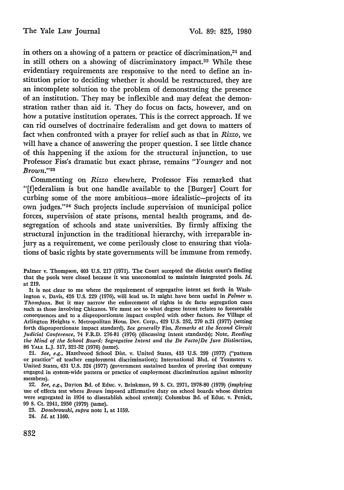in others on a showing of a pattern or practice of discrimination,<sup>21</sup> and in still others on a showing of discriminatory impact.<sup>22</sup> While these evidentiary requirements are responsive to the need to define an institution prior to deciding whether it should be restructured, they are an incomplete solution to the problem of demonstrating the presence of an institution. They may be inflexible and may defeat the demonstration rather than aid it. They do focus on facts, however, and on how a putative institution operates. This is the correct approach. If we can rid ourselves of doctrinaire federalism and get down to matters of fact when confronted with a prayer for relief such as that in *Rizzo,* we will have a chance of answering the proper question. I see little chance of this happening if the axiom for the structural injunction, to use Professor Fiss's dramatic but exact phrase, remains *"Younger* and not *Brown."23*

Commenting on *Rizzo* elsewhere, Professor Fiss remarked that "[f]ederalism is but one handle available to the [Burger] Court for curbing some of the more ambitious-more idealistic-projects of its own judges."<sup>24</sup> Such projects include supervision of municipal police forces, supervision of state prisons, mental health programs, and desegregation of schools and state universities. **By** firmly affixing the structural injunction in the traditional hierarchy, with irreparable injury as a requirement, we come perilously close to ensuring that violations of basic rights **by** state governments will be immune from remedy.

Palmer v. Thompson, **403 U.S. 217 (1971).** The Court accepted the district court's finding that the pools were dosed because it was uneconomical to maintain integrated pools. *Id.* at **219.**

It is not clear to me where the requirement of segregative intent set forth in Washington v. Davis, 426 **U.S. 229 (1976),** will lead us. It might have been useful in *Palmer v. Thompson.* But it may narrow the enforcement of rights in de facto segregation cases such as those involving Chicanos. We must see to what degree intent relates to foreseeable consequences and to a disproportionate impact coupled with other factors. *See* Village of Arlington Heights v. Metropolitan Hous. Dev. Corp., 429 **U.S. 252, 270** n.21 **(1977)** (setting forth disproportionate impact standard). *See generally Fiss, Remarks at the Second Circuit Judicial Conference,* 74 F.R.D. 276-81 (1976) (discussing intent standards); Note, *Reading the Mind of the School Board: Segregative Intent and the De Facto[De Jure Distinction,* 86 **YALE** L.J. 317, **321-32** (1976) (same).

*21. See, e.g.,* Hazelwood School Dist. v. United States, **433** U.S. 299 (1977) ("pattern or practice" of teacher employment discrimination); International Bhd. of Teamsters v. United States, **431** U.S. 324 (1977) (government sustained burden of proving that company engaged in system-wide pattern or practice of employment discrimination against minority members).

22. *See, e.g.,* Dayton **Bd.** of Educ. v. Brinkman, **99** S. Ct. 2971, 2978-80 (1979) (implying use of effects test where *Brown* imposed affirmative duty on school boards whose districts were segregated in 1954 to disestablish school system); Columbus Bd. of Educ. v. Penick, **99 S.** Ct. 2941, **2950 (1979)** (same).

**23.** *Dombrowski, supra* note 1, at **1159.**

24. *Id.* at 1160.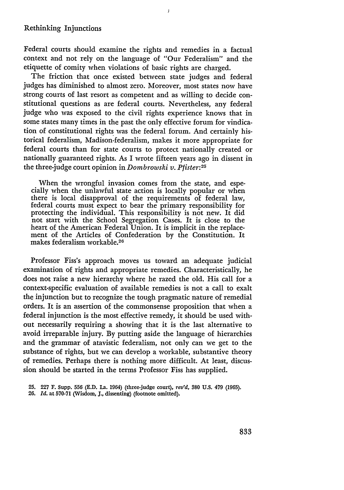Federal courts should examine the rights and remedies in a factual context and not rely on the language of "Our Federalism" and the etiquette of comity when violations of basic rights are charged.

 $\overline{1}$ 

The friction that once existed between state judges and federal judges has diminished to almost zero. Moreover, most states now have strong courts of last resort as competent and as willing to decide constitutional questions as are federal courts. Nevertheless, any federal judge who was exposed to the civil rights experience knows that in some states many times in the past the only effective forum for vindication of constitutional rights was the federal forum. And certainly historical federalism, Madison-federalism, makes it more appropriate for federal courts than for state courts to protect nationally created or nationally guaranteed rights. As I wrote fifteen years ago in dissent in the three-judge court opinion in *Dombrowski v. Pfister:25*

When the wrongful invasion comes from the state, and espe-<br>cially when the unlawful state action is locally popular or when there is local disapproval of the requirements of federal law, federal courts must expect to bear the primary responsibility for protecting the individual. This responsibility is not new. It did not start with the School Segregation Cases. It is close to the heart of the American Federal Union. It is implicit in the replacement of the Articles of Confederation by the Constitution. It makes federalism workable. <sup>26</sup>

Professor Fiss's approach moves us toward an adequate judicial examination of rights and appropriate remedies. Characteristically, he does not raise a new hierarchy where he razed the old. His call for a context-specific evaluation of available remedies is not a call to exalt the injunction but to recognize the tough pragmatic nature of remedial orders. It is an assertion of the commonsense proposition that when a federal injunction is the most effective remedy, it should be used without necessarily requiring a showing that it is the last alternative to avoid irreparable injury. By putting aside the language of hierarchies and the grammar of atavistic federalism, not only can we get to the substance of rights, but we can develop a workable, substantive theory of remedies. Perhaps there is nothing more difficult. At least, discussion should be started in the terms Professor Fiss has supplied.

**<sup>25. 227</sup>** F. Supp. **556 (E.D.** La. 1964) (three-judge court), *rev'd,* **380** U.S. 479 **(1965).**

**<sup>26.</sup>** *Id.* at **570-71** (Wisdom, **J.,** dissenting) (footnote omitted).